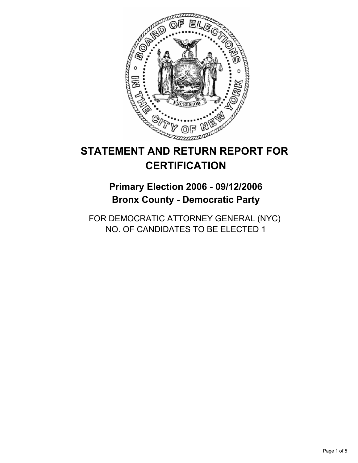

# **STATEMENT AND RETURN REPORT FOR CERTIFICATION**

# **Primary Election 2006 - 09/12/2006 Bronx County - Democratic Party**

FOR DEMOCRATIC ATTORNEY GENERAL (NYC) NO. OF CANDIDATES TO BE ELECTED 1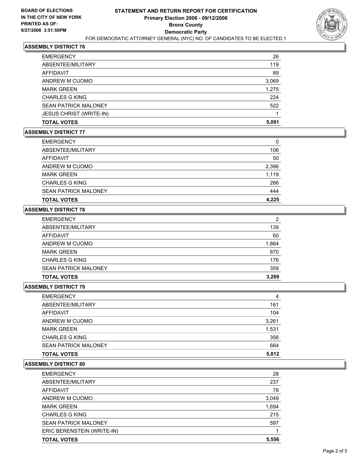

#### **ASSEMBLY DISTRICT 76**

| <b>EMERGENCY</b>               | 26    |
|--------------------------------|-------|
| ABSENTEE/MILITARY              | 119   |
| <b>AFFIDAVIT</b>               | 89    |
| ANDREW M CUOMO                 | 3,069 |
| <b>MARK GREEN</b>              | 1,275 |
| <b>CHARLES G KING</b>          | 224   |
| <b>SEAN PATRICK MALONEY</b>    | 522   |
| <b>JESUS CHRIST (WRITE-IN)</b> |       |
| <b>TOTAL VOTES</b>             | 5,091 |

#### **ASSEMBLY DISTRICT 77**

| <b>EMERGENCY</b>            | 0     |
|-----------------------------|-------|
| ABSENTEE/MILITARY           | 106   |
| AFFIDAVIT                   | 50    |
| ANDREW M CUOMO              | 2,396 |
| <b>MARK GREEN</b>           | 1,119 |
| <b>CHARLES G KING</b>       | 266   |
| <b>SEAN PATRICK MALONEY</b> | 444   |
| <b>TOTAL VOTES</b>          | 4,225 |

## **ASSEMBLY DISTRICT 78**

| <b>EMERGENCY</b>            | 2     |
|-----------------------------|-------|
| ABSENTEE/MILITARY           | 139   |
| AFFIDAVIT                   | 60    |
| ANDREW M CUOMO              | 1,864 |
| <b>MARK GREEN</b>           | 870   |
| <b>CHARLES G KING</b>       | 176   |
| <b>SEAN PATRICK MALONEY</b> | 359   |
| <b>TOTAL VOTES</b>          | 3,269 |

# **ASSEMBLY DISTRICT 79**

| <b>EMERGENCY</b>            | 4     |
|-----------------------------|-------|
| ABSENTEE/MILITARY           | 161   |
| AFFIDAVIT                   | 104   |
| ANDREW M CUOMO              | 3,261 |
| <b>MARK GREEN</b>           | 1,531 |
| <b>CHARLES G KING</b>       | 356   |
| <b>SEAN PATRICK MALONEY</b> | 664   |
| <b>TOTAL VOTES</b>          | 5,812 |

#### **ASSEMBLY DISTRICT 80**

| <b>EMERGENCY</b>            | 28    |
|-----------------------------|-------|
| ABSENTEE/MILITARY           | 237   |
| AFFIDAVIT                   | 78    |
| ANDREW M CUOMO              | 3,049 |
| <b>MARK GREEN</b>           | 1,694 |
| <b>CHARLES G KING</b>       | 215   |
| <b>SEAN PATRICK MALONEY</b> | 597   |
| ERIC BERENSTEIN (WRITE-IN)  |       |
| <b>TOTAL VOTES</b>          | 5,556 |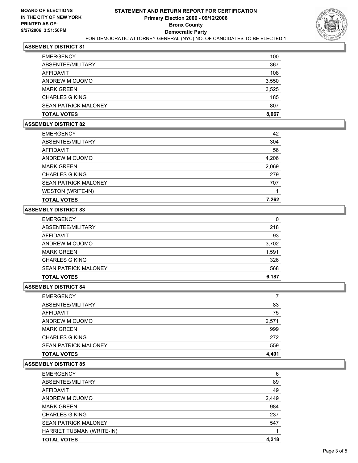

#### **ASSEMBLY DISTRICT 81**

| <b>TOTAL VOTES</b>          | 8,067 |
|-----------------------------|-------|
| <b>SEAN PATRICK MALONEY</b> | 807   |
| <b>CHARLES G KING</b>       | 185   |
| <b>MARK GREEN</b>           | 3,525 |
| ANDREW M CUOMO              | 3,550 |
| AFFIDAVIT                   | 108   |
| ABSENTEE/MILITARY           | 367   |
| <b>EMERGENCY</b>            | 100   |

#### **ASSEMBLY DISTRICT 82**

| <b>TOTAL VOTES</b>          | 7,262 |
|-----------------------------|-------|
| WESTON (WRITE-IN)           |       |
| <b>SEAN PATRICK MALONEY</b> | 707   |
| <b>CHARLES G KING</b>       | 279   |
| <b>MARK GREEN</b>           | 2,069 |
| ANDREW M CUOMO              | 4,206 |
| AFFIDAVIT                   | 56    |
| ABSENTEE/MILITARY           | 304   |
| <b>EMERGENCY</b>            | 42    |

#### **ASSEMBLY DISTRICT 83**

| <b>SEAN PATRICK MALONEY</b><br><b>TOTAL VOTES</b> | 568<br>6,187 |
|---------------------------------------------------|--------------|
| <b>CHARLES G KING</b>                             | 326          |
| <b>MARK GREEN</b>                                 | 1,591        |
| ANDREW M CUOMO                                    | 3,702        |
| AFFIDAVIT                                         | 93           |
| ABSENTEE/MILITARY                                 | 218          |
| <b>EMERGENCY</b>                                  | 0            |

## **ASSEMBLY DISTRICT 84**

| <b>EMERGENCY</b>            |       |
|-----------------------------|-------|
| ABSENTEE/MILITARY           | 83    |
| AFFIDAVIT                   | 75    |
| ANDREW M CUOMO              | 2,571 |
| <b>MARK GREEN</b>           | 999   |
| <b>CHARLES G KING</b>       | 272   |
| <b>SEAN PATRICK MALONEY</b> | 559   |
| <b>TOTAL VOTES</b>          | 4.401 |

#### **ASSEMBLY DISTRICT 85**

| <b>EMERGENCY</b>            | 6     |
|-----------------------------|-------|
| ABSENTEE/MILITARY           | 89    |
| AFFIDAVIT                   | 49    |
| ANDREW M CUOMO              | 2,449 |
| <b>MARK GREEN</b>           | 984   |
| <b>CHARLES G KING</b>       | 237   |
| <b>SEAN PATRICK MALONEY</b> | 547   |
| HARRIET TUBMAN (WRITE-IN)   |       |
| <b>TOTAL VOTES</b>          | 4,218 |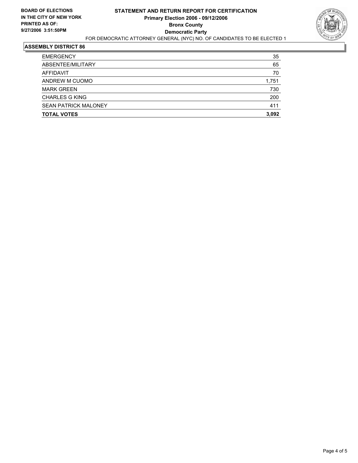

## **ASSEMBLY DISTRICT 86**

| <b>TOTAL VOTES</b>          | 3,092 |
|-----------------------------|-------|
| <b>SEAN PATRICK MALONEY</b> | 411   |
| <b>CHARLES G KING</b>       | 200   |
| <b>MARK GREEN</b>           | 730   |
| ANDREW M CUOMO              | 1,751 |
| AFFIDAVIT                   | 70    |
| ABSENTEE/MILITARY           | 65    |
| <b>EMERGENCY</b>            | 35    |